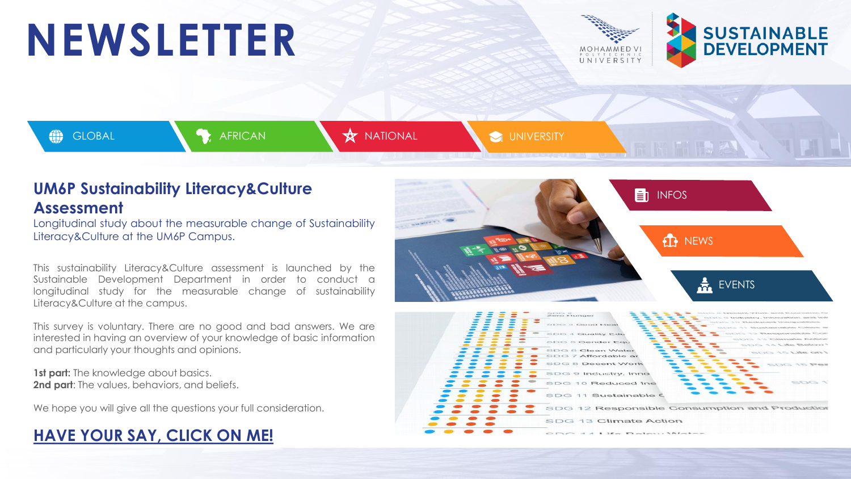## **NEWSLETTER**







### **UM6P Sustainability Literacy&Culture Assessment**

Longitudinal study about the measurable change of Sustainability Literacy&Culture at the UM6P Campus.

This sustainability Literacy&Culture assessment is launched by the Sustainable Development Department in order to conduct a longitudinal study for the measurable change of sustainability Literacy&Culture at the campus.

This survey is voluntary. There are no good and bad answers. We are interested in having an overview of your knowledge of basic information and particularly your thoughts and opinions.

**1st part:** The knowledge about basics. **2nd part**: The values, behaviors, and beliefs.

We hope you will give all the questions your full consideration.

## **HAVE YOUR SAY, [CLICK](https://forms.office.com/Pages/ResponsePage.aspx?id=V2FiOUegiUaHom-mRctct6ly9RbeiFVMhO8AjrDzWwRURUMzQVlUVkVYMjVCSVRGNlgzOEhOTFFOOS4u) ON ME!**



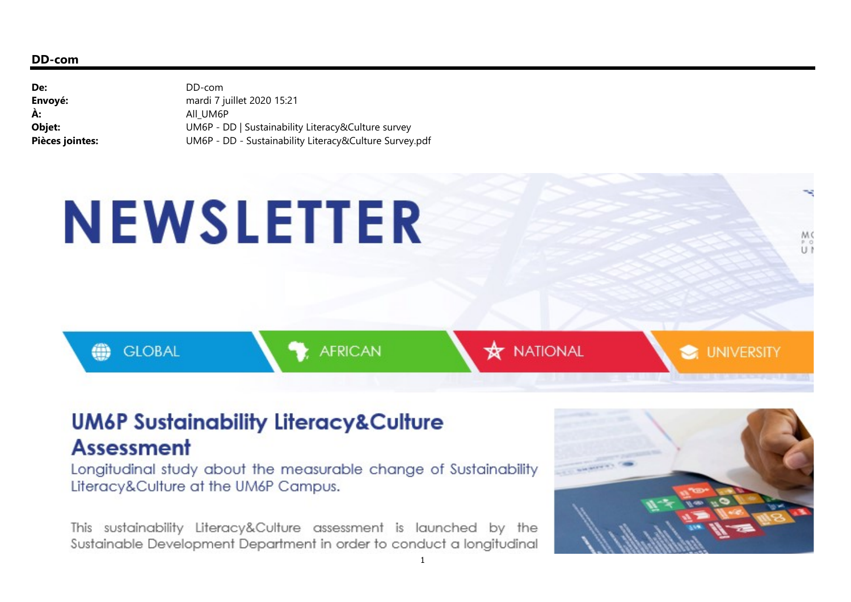#### DD-com

| De:             | DD-com                                                 |
|-----------------|--------------------------------------------------------|
| Envoyé:         | mardi 7 juillet 2020 15:21                             |
| À:              | AII UM6P                                               |
| Objet:          | UM6P - DD   Sustainability Literacy&Culture survey     |
| Pièces jointes: | UM6P - DD - Sustainability Literacy&Culture Survey.pdf |

# **NEWSLETTER**

**GLOBAL** 

e.

**AFRICAN** 

**X** NATIONAL

**UNIVERSITY** 

M C  $U$ 

## **UM6P Sustainability Literacy&Culture Assessment**

Longitudinal study about the measurable change of Sustainability Literacy&Culture at the UM6P Campus.

This sustainability Literacy&Culture assessment is launched by the Sustainable Development Department in order to conduct a longitudinal

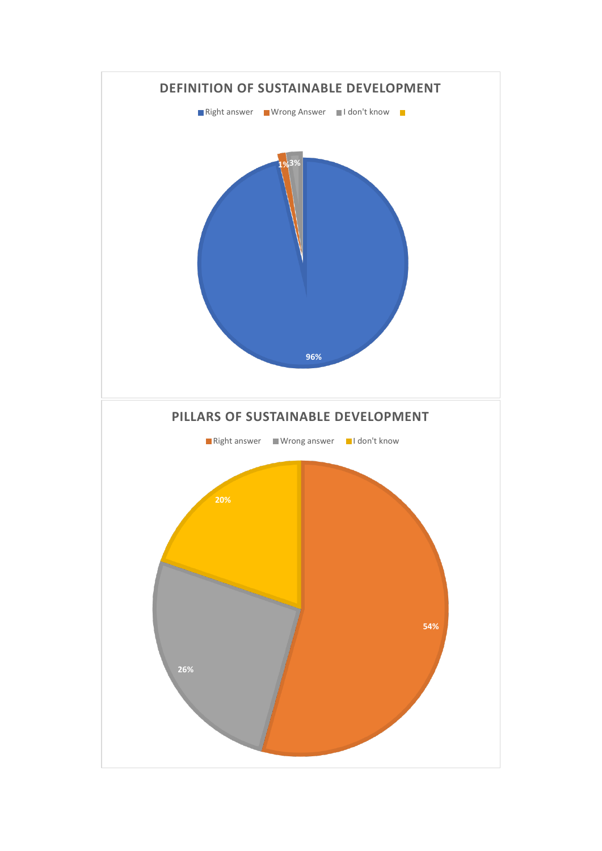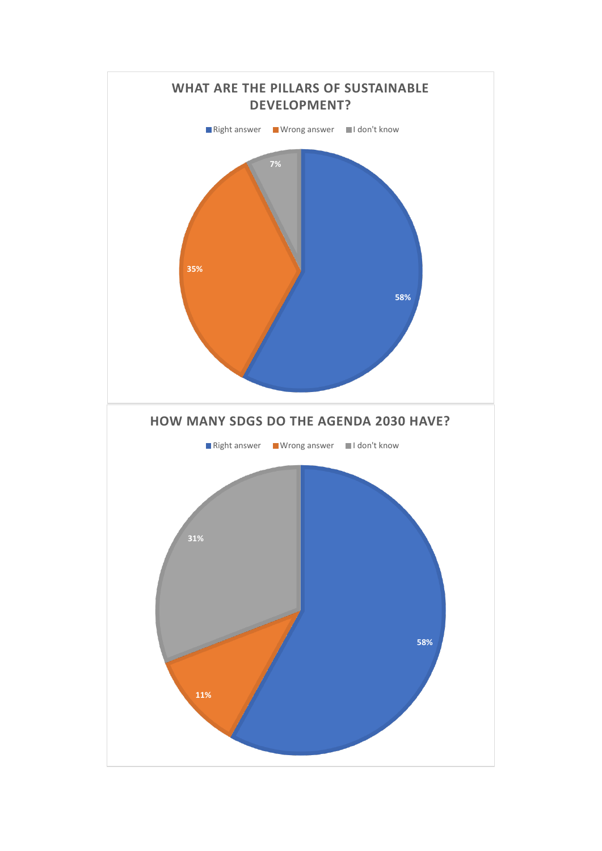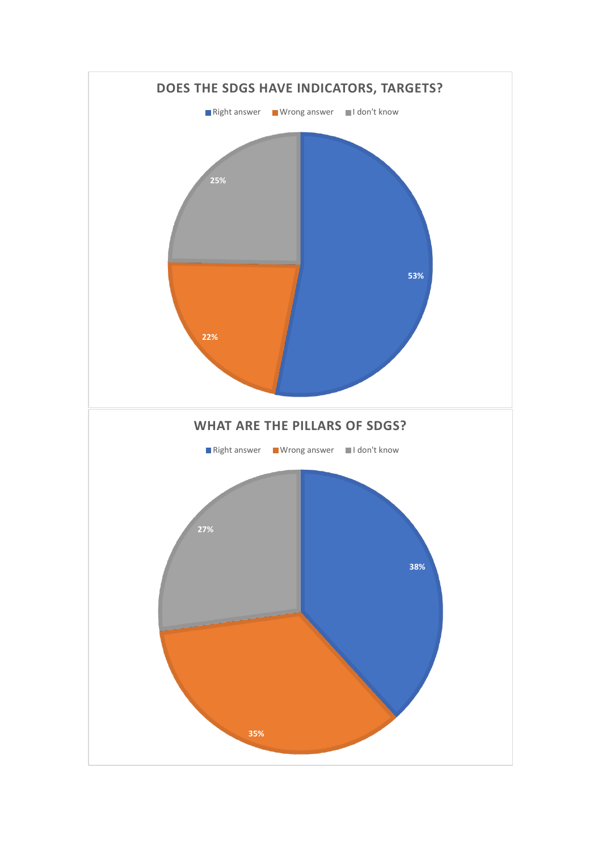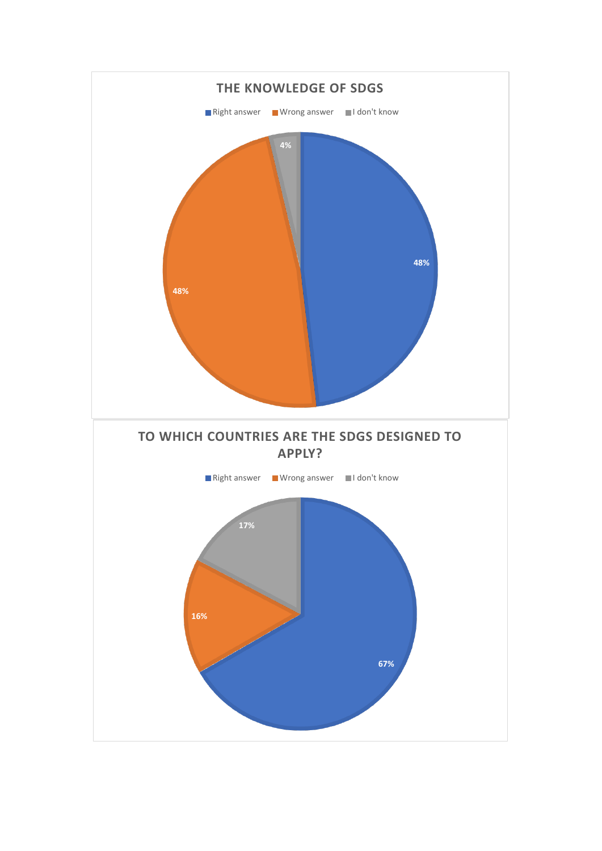